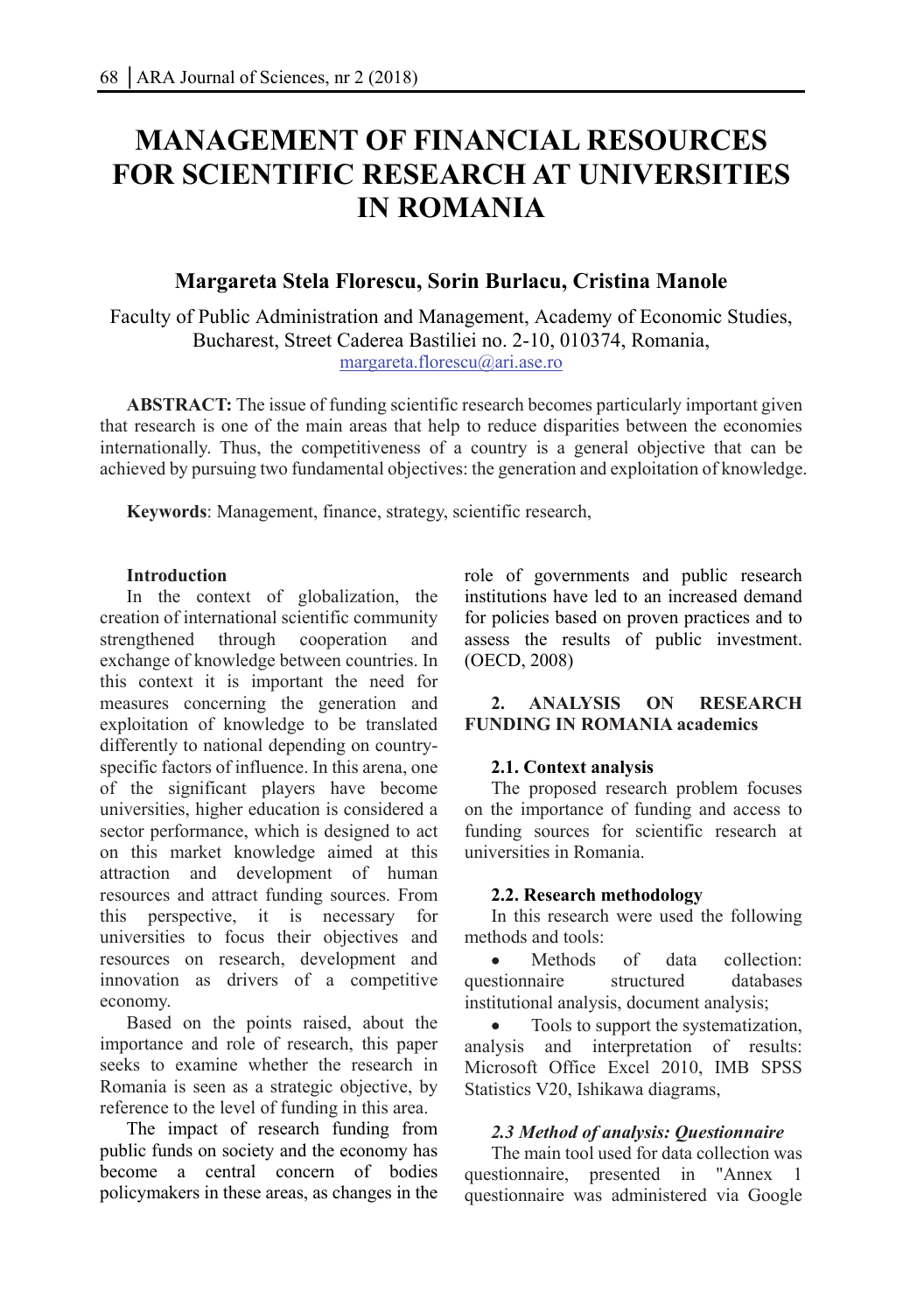# **MANAGEMENT OF FINANCIAL RESOURCES FOR SCIENTIFIC RESEARCH AT UNIVERSITIES IN ROMANIA**

# **Margareta Stela Florescu, Sorin Burlacu, Cristina Manole**

Faculty of Public Administration and Management, Academy of Economic Studies, Bucharest, Street Caderea Bastiliei no. 2-10, 010374, Romania, margareta.florescu@ari.ase.ro

**ABSTRACT:** The issue of funding scientific research becomes particularly important given that research is one of the main areas that help to reduce disparities between the economies internationally. Thus, the competitiveness of a country is a general objective that can be achieved by pursuing two fundamental objectives: the generation and exploitation of knowledge.

**Keywords**: Management, finance, strategy, scientific research,

# **Introduction**

In the context of globalization, the creation of international scientific community strengthened through cooperation and exchange of knowledge between countries. In this context it is important the need for measures concerning the generation and exploitation of knowledge to be translated differently to national depending on countryspecific factors of influence. In this arena, one of the significant players have become universities, higher education is considered a sector performance, which is designed to act on this market knowledge aimed at this attraction and development of human resources and attract funding sources. From this perspective, it is necessary for universities to focus their objectives and resources on research, development and innovation as drivers of a competitive economy.

Based on the points raised, about the importance and role of research, this paper seeks to examine whether the research in Romania is seen as a strategic objective, by reference to the level of funding in this area.

The impact of research funding from public funds on society and the economy has become a central concern of bodies policymakers in these areas, as changes in the role of governments and public research institutions have led to an increased demand for policies based on proven practices and to assess the results of public investment. (OECD, 2008)

# **2. ANALYSIS ON RESEARCH FUNDING IN ROMANIA academics**

# **2.1. Context analysis**

The proposed research problem focuses on the importance of funding and access to funding sources for scientific research at universities in Romania.

#### **2.2. Research methodology**

In this research were used the following methods and tools:

 Methods of data collection: questionnaire structured databases institutional analysis, document analysis;

 Tools to support the systematization, analysis and interpretation of results: Microsoft Office Excel 2010, IMB SPSS Statistics V20, Ishikawa diagrams,

# *2.3 Method of analysis: Questionnaire*

The main tool used for data collection was questionnaire, presented in "Annex 1 questionnaire was administered via Google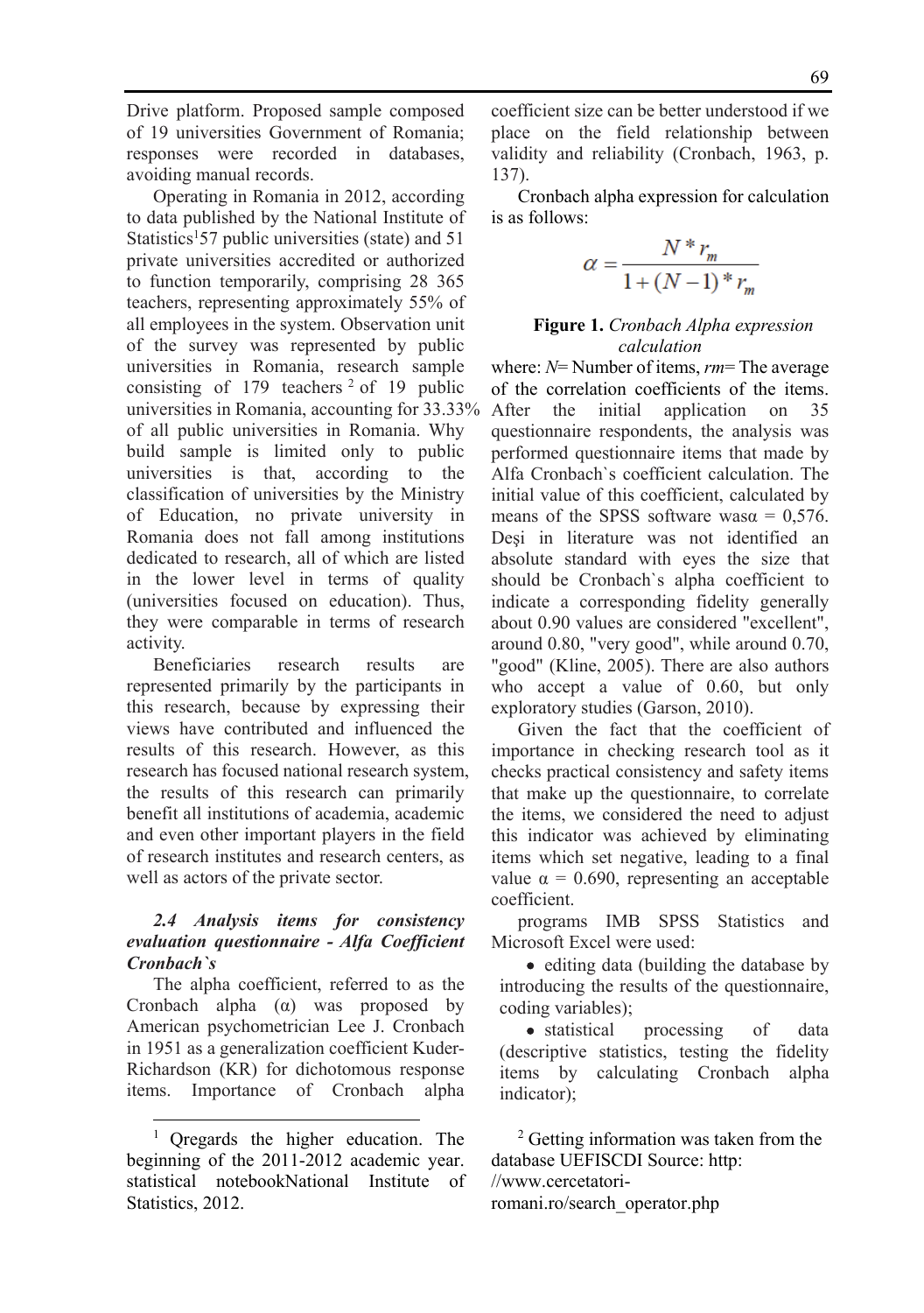Drive platform. Proposed sample composed of 19 universities Government of Romania; responses were recorded in databases, avoiding manual records.

Operating in Romania in 2012, according to data published by the National Institute of Statistics<sup>1</sup>57 public universities (state) and 51 private universities accredited or authorized to function temporarily, comprising 28 365 teachers, representing approximately 55% of all employees in the system. Observation unit of the survey was represented by public universities in Romania, research sample consisting of 179 teachers  $2$  of 19 public universities in Romania, accounting for 33.33% of all public universities in Romania. Why build sample is limited only to public universities is that, according to the classification of universities by the Ministry of Education, no private university in Romania does not fall among institutions dedicated to research, all of which are listed in the lower level in terms of quality (universities focused on education). Thus, they were comparable in terms of research activity.

Beneficiaries research results are represented primarily by the participants in this research, because by expressing their views have contributed and influenced the results of this research. However, as this research has focused national research system, the results of this research can primarily benefit all institutions of academia, academic and even other important players in the field of research institutes and research centers, as well as actors of the private sector.

### *2.4 Analysis items for consistency evaluation questionnaire - Alfa Coefficient Cronbach`s*

The alpha coefficient, referred to as the Cronbach alpha (α) was proposed by American psychometrician Lee J. Cronbach in 1951 as a generalization coefficient Kuder-Richardson (KR) for dichotomous response items. Importance of Cronbach alpha

l

coefficient size can be better understood if we place on the field relationship between validity and reliability (Cronbach, 1963, p. 137).

Cronbach alpha expression for calculation is as follows:

$$
\alpha = \frac{N \cdot r_m}{1 + (N - 1) \cdot r_m}
$$

# **Figure 1.** *Cronbach Alpha expression calculation*

where: *N*= Number of items, *rm*= The average of the correlation coefficients of the items. After the initial application on 35 questionnaire respondents, the analysis was performed questionnaire items that made by Alfa Cronbach`s coefficient calculation. The initial value of this coefficient, calculated by means of the SPSS software was $\alpha$  = 0.576. Deşi in literature was not identified an absolute standard with eyes the size that should be Cronbach`s alpha coefficient to indicate a corresponding fidelity generally about 0.90 values are considered "excellent", around 0.80, "very good", while around 0.70, "good" (Kline, 2005). There are also authors who accept a value of 0.60, but only exploratory studies (Garson, 2010).

Given the fact that the coefficient of importance in checking research tool as it checks practical consistency and safety items that make up the questionnaire, to correlate the items, we considered the need to adjust this indicator was achieved by eliminating items which set negative, leading to a final value  $\alpha = 0.690$ , representing an acceptable coefficient.

programs IMB SPSS Statistics and Microsoft Excel were used:

• editing data (building the database by introducing the results of the questionnaire, coding variables);

• statistical processing of data (descriptive statistics, testing the fidelity items by calculating Cronbach alpha indicator);

2 Getting information was taken from the database UEFISCDI Source: http: //www.cercetatoriromani.ro/search\_operator.php

<sup>&</sup>lt;sup>1</sup> Qregards the higher education. The beginning of the 2011-2012 academic year. statistical notebookNational Institute of Statistics, 2012.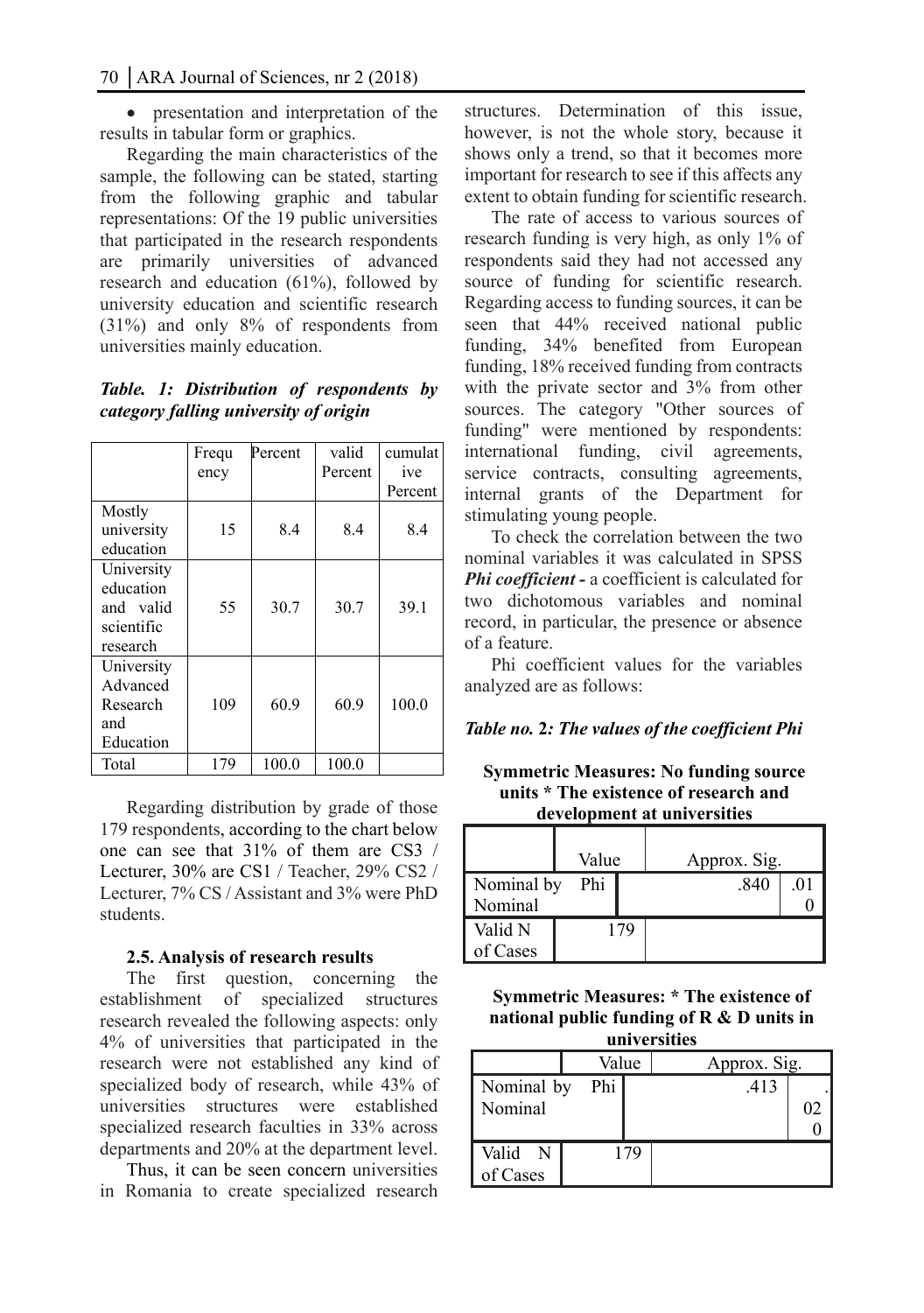• presentation and interpretation of the results in tabular form or graphics.

Regarding the main characteristics of the sample, the following can be stated, starting from the following graphic and tabular representations: Of the 19 public universities that participated in the research respondents are primarily universities of advanced research and education (61%), followed by university education and scientific research (31%) and only 8% of respondents from universities mainly education.

# *Table. 1: Distribution of respondents by category falling university of origin*

|                                                                | Frequ<br>ency | Percent | valid<br>Percent | cumulat<br>ive<br>Percent |
|----------------------------------------------------------------|---------------|---------|------------------|---------------------------|
| Mostly<br>university<br>education                              | 15            | 8.4     | 8.4              | 8.4                       |
| University<br>education<br>and valid<br>scientific<br>research | 55            | 30.7    | 30.7             | 39.1                      |
| University<br>Advanced<br>Research<br>and<br>Education         | 109           | 60.9    | 60.9             | 100.0                     |
| Total                                                          | 179           | 100.0   | 100.0            |                           |

Regarding distribution by grade of those 179 respondents, according to the chart below one can see that 31% of them are CS3 / Lecturer, 30% are CS1 / Teacher, 29% CS2 / Lecturer, 7% CS / Assistant and 3% were PhD students.

#### **2.5. Analysis of research results**

The first question, concerning the establishment of specialized structures research revealed the following aspects: only 4% of universities that participated in the research were not established any kind of specialized body of research, while 43% of universities structures were established specialized research faculties in 33% across departments and 20% at the department level.

Thus, it can be seen concern universities in Romania to create specialized research

structures. Determination of this issue, however, is not the whole story, because it shows only a trend, so that it becomes more important for research to see if this affects any extent to obtain funding for scientific research.

The rate of access to various sources of research funding is very high, as only 1% of respondents said they had not accessed any source of funding for scientific research. Regarding access to funding sources, it can be seen that 44% received national public funding, 34% benefited from European funding, 18% received funding from contracts with the private sector and 3% from other sources. The category "Other sources of funding" were mentioned by respondents: international funding, civil agreements, service contracts, consulting agreements, internal grants of the Department for stimulating young people.

To check the correlation between the two nominal variables it was calculated in SPSS *Phi coefficient -* a coefficient is calculated for two dichotomous variables and nominal record, in particular, the presence or absence of a feature.

Phi coefficient values for the variables analyzed are as follows:

#### *Table no.* **2***: The values of the coefficient Phi*

**Symmetric Measures: No funding source units \* The existence of research and development at universities** 

|                       | Value |     | Approx. Sig. |     |  |
|-----------------------|-------|-----|--------------|-----|--|
| Nominal by<br>Nominal | Phi   |     | .840         | .01 |  |
| Valid N<br>of Cases   |       | 179 |              |     |  |

**Symmetric Measures: \* The existence of national public funding of R & D units in universities**

|            | Value |     | Approx. Sig. |    |
|------------|-------|-----|--------------|----|
| Nominal by | Phi   |     | .413         |    |
| Nominal    |       |     |              | 02 |
|            |       |     |              |    |
| Valid N    |       | 179 |              |    |
| of Cases   |       |     |              |    |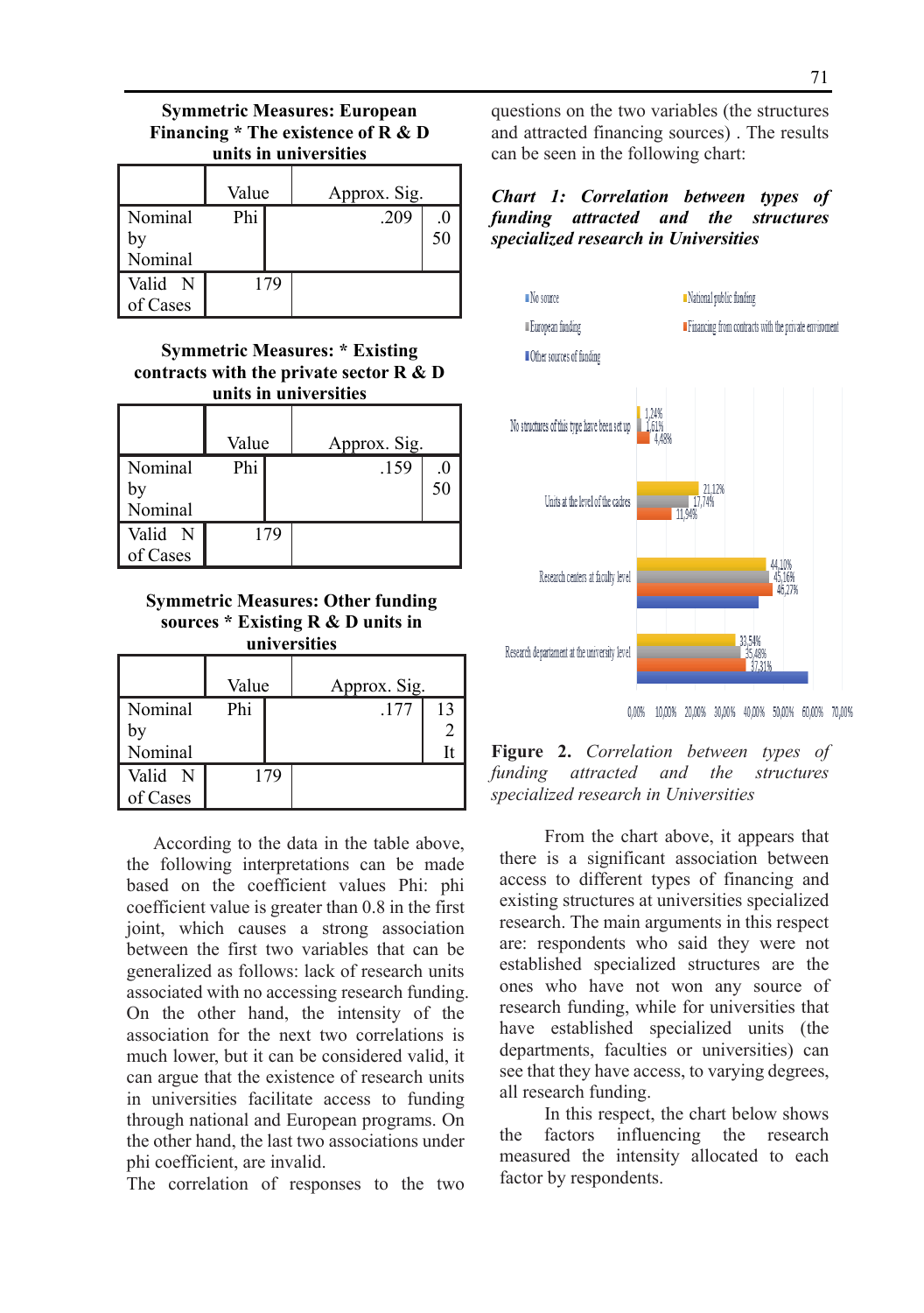#### **Symmetric Measures: European Financing \* The existence of R & D units in universities**

|                          | Value | Approx. Sig. |
|--------------------------|-------|--------------|
| Nominal<br>b٧<br>Nominal | Phi   | .209<br>50   |
| Valid N<br>of Cases      | 179   |              |

# **Symmetric Measures: \* Existing contracts with the private sector R & D units in universities**

|                          | Value | Approx. Sig. |
|--------------------------|-------|--------------|
| Nominal<br>by<br>Nominal | Phi   | .159<br>50   |
| Valid N<br>of Cases      | 179   |              |

**Symmetric Measures: Other funding sources \* Existing R & D units in universities**

|                          | Value |     | Approx. Sig. |    |  |
|--------------------------|-------|-----|--------------|----|--|
| Nominal<br>by<br>Nominal | Phi   |     | .177         | 13 |  |
| Valid N<br>of Cases      |       | 179 |              |    |  |

According to the data in the table above, the following interpretations can be made based on the coefficient values Phi: phi coefficient value is greater than 0.8 in the first joint, which causes a strong association between the first two variables that can be generalized as follows: lack of research units associated with no accessing research funding. On the other hand, the intensity of the association for the next two correlations is much lower, but it can be considered valid, it can argue that the existence of research units in universities facilitate access to funding through national and European programs. On the other hand, the last two associations under phi coefficient, are invalid.

The correlation of responses to the two

questions on the two variables (the structures and attracted financing sources) . The results can be seen in the following chart:

*Chart 1: Correlation between types of funding attracted and the structures specialized research in Universities* 



0,00% 10,00% 20,00% 30,00% 40,00% 50,00% 60,00% 70,00%



 From the chart above, it appears that there is a significant association between access to different types of financing and existing structures at universities specialized research. The main arguments in this respect are: respondents who said they were not established specialized structures are the ones who have not won any source of research funding, while for universities that have established specialized units (the departments, faculties or universities) can see that they have access, to varying degrees, all research funding.

 In this respect, the chart below shows the factors influencing the research measured the intensity allocated to each factor by respondents.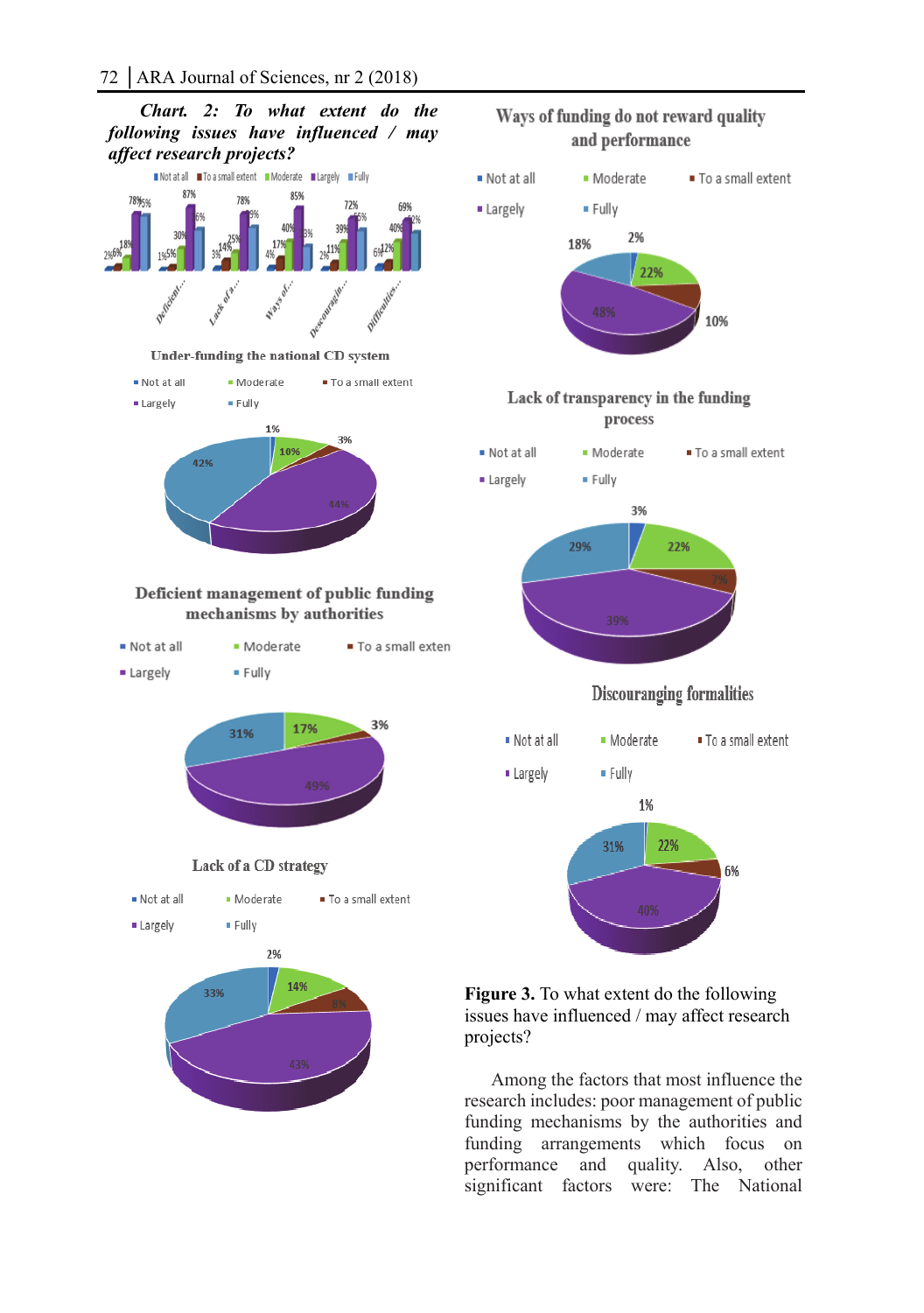*Chart. 2: To what extent do the following issues have influenced / may affect research projects?*  Notatall To a small extent Moderate Margely MFully 87%





**Figure 3.** To what extent do the following issues have influenced / may affect research projects?

Among the factors that most influence the research includes: poor management of public funding mechanisms by the authorities and funding arrangements which focus on performance and quality. Also, other significant factors were: The National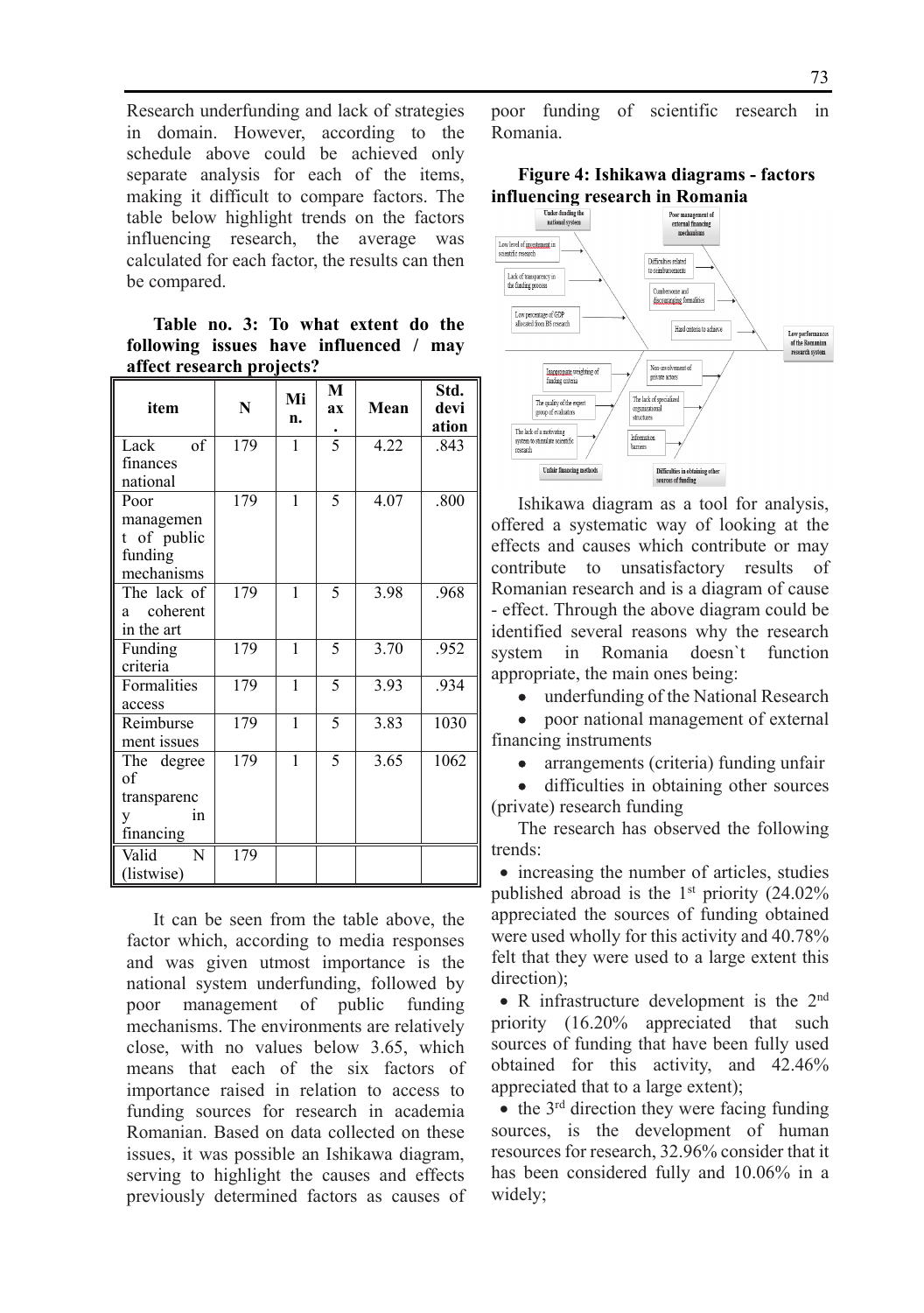Research underfunding and lack of strategies in domain. However, according to the schedule above could be achieved only separate analysis for each of the items, making it difficult to compare factors. The table below highlight trends on the factors influencing research, the average was calculated for each factor, the results can then be compared.

**Table no. 3: To what extent do the following issues have influenced / may affect research projects?** 

| item                                                      | N                | Mi<br>n. | M<br>ax       | Mean | Std.<br>devi<br>ation |
|-----------------------------------------------------------|------------------|----------|---------------|------|-----------------------|
| Lack<br>of<br>finances<br>national                        | $\overline{179}$ | 1        | $\frac{1}{5}$ | 4.22 | .843                  |
| Poor<br>managemen<br>t of public<br>funding<br>mechanisms | 179              | 1        | 5             | 4.07 | .800                  |
| The lack of<br>coherent<br>a<br>in the art                | 179              | 1        | 5             | 3.98 | .968                  |
| Funding<br>criteria                                       | 179              | 1        | 5             | 3.70 | .952                  |
| Formalities<br>access                                     | 179              | 1        | 5             | 3.93 | .934                  |
| Reimburse<br>ment issues                                  | 179              | 1        | 5             | 3.83 | 1030                  |
| The degree<br>of<br>transparenc<br>in<br>y<br>financing   | $\frac{179}{2}$  | 1        | 5             | 3.65 | 1062                  |
| $\overline{\text{Valid}}$<br>N<br>(listwise)              | 179              |          |               |      |                       |

It can be seen from the table above, the factor which, according to media responses and was given utmost importance is the national system underfunding, followed by poor management of public funding mechanisms. The environments are relatively close, with no values below 3.65, which means that each of the six factors of importance raised in relation to access to funding sources for research in academia Romanian. Based on data collected on these issues, it was possible an Ishikawa diagram, serving to highlight the causes and effects previously determined factors as causes of poor funding of scientific research in Romania.

#### **Figure 4: Ishikawa diagrams - factors influencing research in Romania**



Ishikawa diagram as a tool for analysis, offered a systematic way of looking at the effects and causes which contribute or may contribute to unsatisfactory results of Romanian research and is a diagram of cause - effect. Through the above diagram could be identified several reasons why the research system in Romania doesn`t function appropriate, the main ones being:

• underfunding of the National Research

 poor national management of external financing instruments

• arrangements (criteria) funding unfair

 difficulties in obtaining other sources (private) research funding

The research has observed the following trends:

• increasing the number of articles, studies published abroad is the  $1<sup>st</sup>$  priority (24.02%) appreciated the sources of funding obtained were used wholly for this activity and 40.78% felt that they were used to a large extent this direction);

• R infrastructure development is the 2<sup>nd</sup> priority (16.20% appreciated that such sources of funding that have been fully used obtained for this activity, and 42.46% appreciated that to a large extent);

 $\bullet$  the 3<sup>rd</sup> direction they were facing funding sources, is the development of human resources for research, 32.96% consider that it has been considered fully and 10.06% in a widely;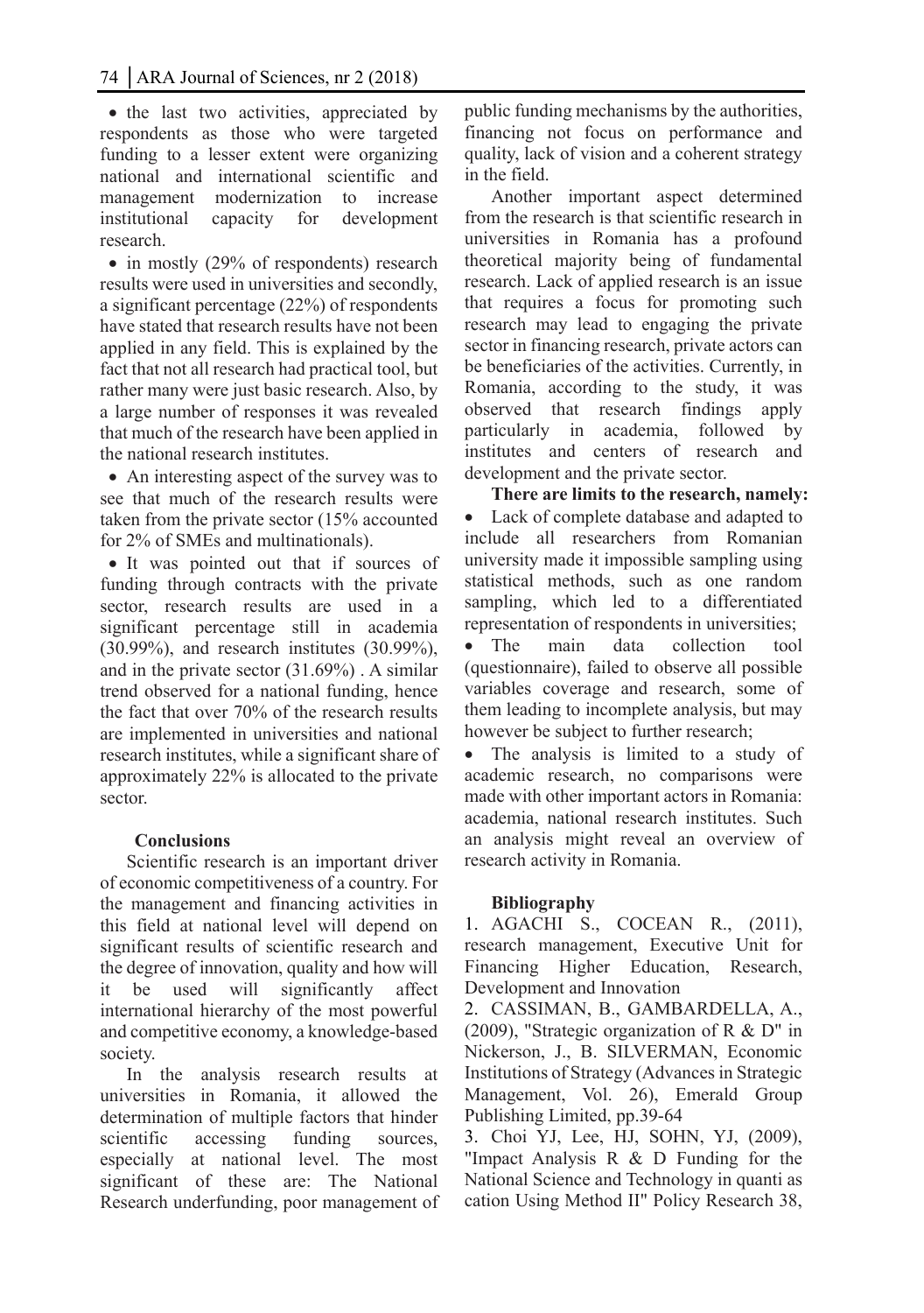• the last two activities, appreciated by respondents as those who were targeted funding to a lesser extent were organizing national and international scientific and management modernization to increase institutional capacity for development research.

• in mostly (29% of respondents) research results were used in universities and secondly, a significant percentage (22%) of respondents have stated that research results have not been applied in any field. This is explained by the fact that not all research had practical tool, but rather many were just basic research. Also, by a large number of responses it was revealed that much of the research have been applied in the national research institutes.

• An interesting aspect of the survey was to see that much of the research results were taken from the private sector (15% accounted for 2% of SMEs and multinationals).

 It was pointed out that if sources of funding through contracts with the private sector, research results are used in a significant percentage still in academia (30.99%), and research institutes (30.99%), and in the private sector (31.69%) . A similar trend observed for a national funding, hence the fact that over 70% of the research results are implemented in universities and national research institutes, while a significant share of approximately 22% is allocated to the private sector.

#### **Conclusions**

Scientific research is an important driver of economic competitiveness of a country. For the management and financing activities in this field at national level will depend on significant results of scientific research and the degree of innovation, quality and how will it be used will significantly affect international hierarchy of the most powerful and competitive economy, a knowledge-based society.

In the analysis research results at universities in Romania, it allowed the determination of multiple factors that hinder scientific accessing funding sources, especially at national level. The most significant of these are: The National Research underfunding, poor management of public funding mechanisms by the authorities, financing not focus on performance and quality, lack of vision and a coherent strategy in the field.

Another important aspect determined from the research is that scientific research in universities in Romania has a profound theoretical majority being of fundamental research. Lack of applied research is an issue that requires a focus for promoting such research may lead to engaging the private sector in financing research, private actors can be beneficiaries of the activities. Currently, in Romania, according to the study, it was observed that research findings apply particularly in academia, followed by institutes and centers of research and development and the private sector.

**There are limits to the research, namely:**  Lack of complete database and adapted to include all researchers from Romanian university made it impossible sampling using statistical methods, such as one random sampling, which led to a differentiated representation of respondents in universities;

• The main data collection tool (questionnaire), failed to observe all possible variables coverage and research, some of them leading to incomplete analysis, but may however be subject to further research;

• The analysis is limited to a study of academic research, no comparisons were made with other important actors in Romania: academia, national research institutes. Such an analysis might reveal an overview of research activity in Romania.

#### **Bibliography**

1. AGACHI S., COCEAN R., (2011), research management, Executive Unit for Financing Higher Education, Research, Development and Innovation

2. CASSIMAN, B., GAMBARDELLA, A., (2009), "Strategic organization of R & D" in Nickerson, J., B. SILVERMAN, Economic Institutions of Strategy (Advances in Strategic Management, Vol. 26), Emerald Group Publishing Limited, pp.39-64

3. Choi YJ, Lee, HJ, SOHN, YJ, (2009), "Impact Analysis R & D Funding for the National Science and Technology in quanti as cation Using Method II" Policy Research 38,